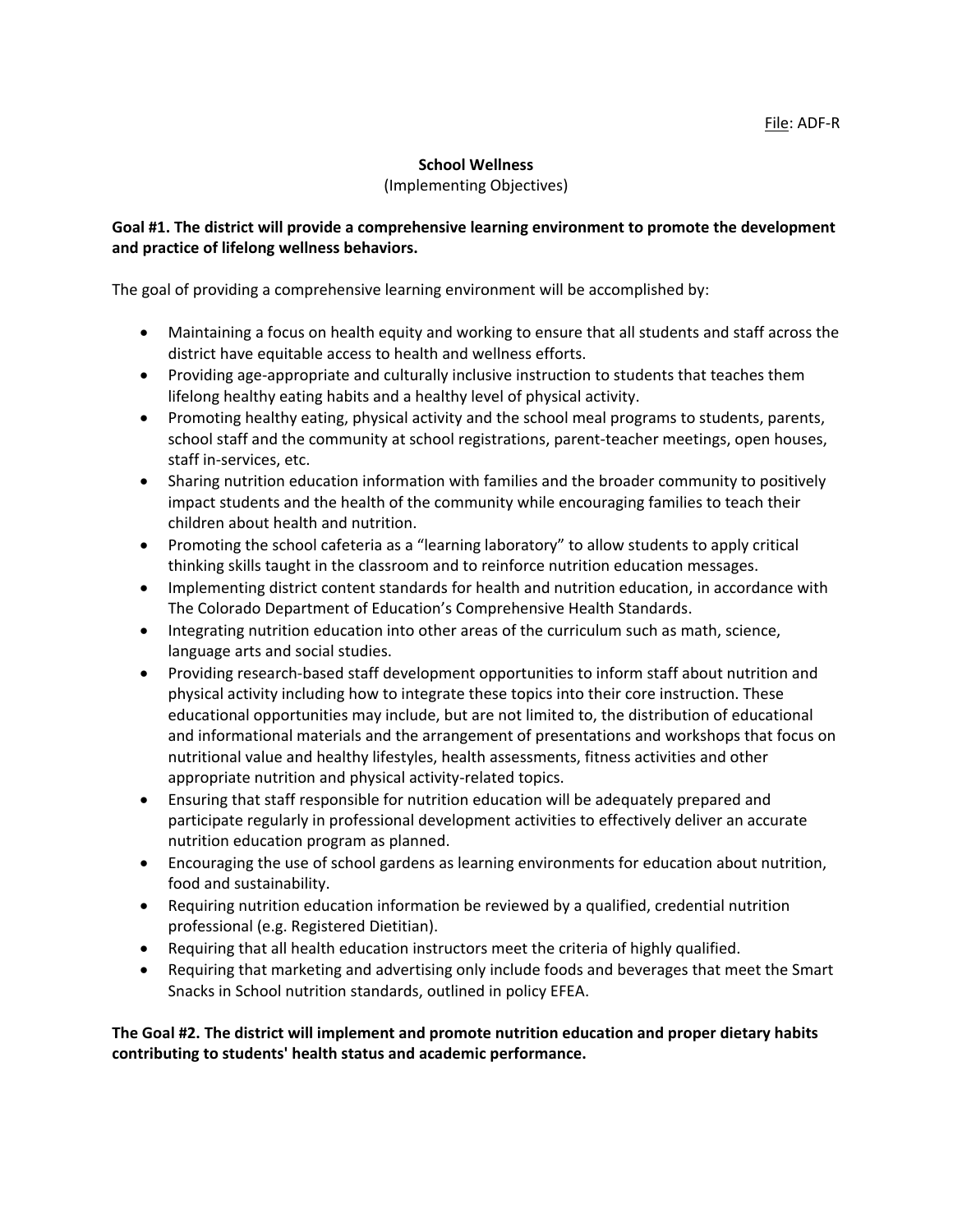### **School Wellness**

#### (Implementing Objectives)

## **Goal #1. The district will provide a comprehensive learning environment to promote the development and practice of lifelong wellness behaviors.**

The goal of providing a comprehensive learning environment will be accomplished by:

- Maintaining a focus on health equity and working to ensure that all students and staff across the district have equitable access to health and wellness efforts.
- Providing age-appropriate and culturally inclusive instruction to students that teaches them lifelong healthy eating habits and a healthy level of physical activity.
- Promoting healthy eating, physical activity and the school meal programs to students, parents, school staff and the community at school registrations, parent-teacher meetings, open houses, staff in-services, etc.
- Sharing nutrition education information with families and the broader community to positively impact students and the health of the community while encouraging families to teach their children about health and nutrition.
- Promoting the school cafeteria as a "learning laboratory" to allow students to apply critical thinking skills taught in the classroom and to reinforce nutrition education messages.
- Implementing district content standards for health and nutrition education, in accordance with The Colorado Department of Education's Comprehensive Health Standards.
- Integrating nutrition education into other areas of the curriculum such as math, science, language arts and social studies.
- Providing research-based staff development opportunities to inform staff about nutrition and physical activity including how to integrate these topics into their core instruction. These educational opportunities may include, but are not limited to, the distribution of educational and informational materials and the arrangement of presentations and workshops that focus on nutritional value and healthy lifestyles, health assessments, fitness activities and other appropriate nutrition and physical activity-related topics.
- Ensuring that staff responsible for nutrition education will be adequately prepared and participate regularly in professional development activities to effectively deliver an accurate nutrition education program as planned.
- Encouraging the use of school gardens as learning environments for education about nutrition, food and sustainability.
- Requiring nutrition education information be reviewed by a qualified, credential nutrition professional (e.g. Registered Dietitian).
- Requiring that all health education instructors meet the criteria of highly qualified.
- Requiring that marketing and advertising only include foods and beverages that meet the Smart Snacks in School nutrition standards, outlined in policy EFEA.

**The Goal #2. The district will implement and promote nutrition education and proper dietary habits contributing to students' health status and academic performance.**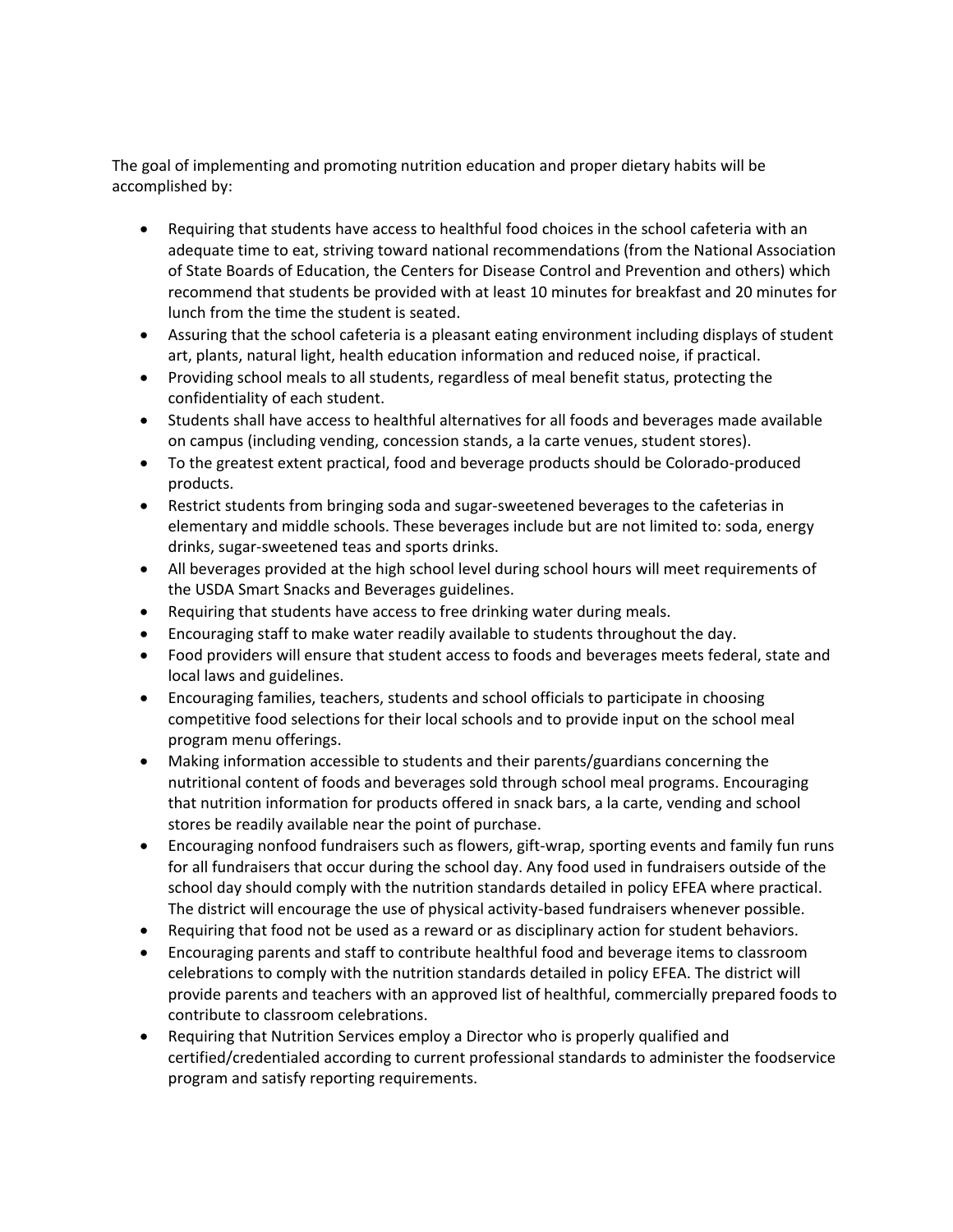The goal of implementing and promoting nutrition education and proper dietary habits will be accomplished by:

- Requiring that students have access to healthful food choices in the school cafeteria with an adequate time to eat, striving toward national recommendations (from the National Association of State Boards of Education, the Centers for Disease Control and Prevention and others) which recommend that students be provided with at least 10 minutes for breakfast and 20 minutes for lunch from the time the student is seated.
- Assuring that the school cafeteria is a pleasant eating environment including displays of student art, plants, natural light, health education information and reduced noise, if practical.
- Providing school meals to all students, regardless of meal benefit status, protecting the confidentiality of each student.
- Students shall have access to healthful alternatives for all foods and beverages made available on campus (including vending, concession stands, a la carte venues, student stores).
- To the greatest extent practical, food and beverage products should be Colorado-produced products.
- Restrict students from bringing soda and sugar-sweetened beverages to the cafeterias in elementary and middle schools. These beverages include but are not limited to: soda, energy drinks, sugar-sweetened teas and sports drinks.
- All beverages provided at the high school level during school hours will meet requirements of the USDA Smart Snacks and Beverages guidelines.
- Requiring that students have access to free drinking water during meals.
- Encouraging staff to make water readily available to students throughout the day.
- Food providers will ensure that student access to foods and beverages meets federal, state and local laws and guidelines.
- Encouraging families, teachers, students and school officials to participate in choosing competitive food selections for their local schools and to provide input on the school meal program menu offerings.
- Making information accessible to students and their parents/guardians concerning the nutritional content of foods and beverages sold through school meal programs. Encouraging that nutrition information for products offered in snack bars, a la carte, vending and school stores be readily available near the point of purchase.
- Encouraging nonfood fundraisers such as flowers, gift-wrap, sporting events and family fun runs for all fundraisers that occur during the school day. Any food used in fundraisers outside of the school day should comply with the nutrition standards detailed in policy EFEA where practical. The district will encourage the use of physical activity-based fundraisers whenever possible.
- Requiring that food not be used as a reward or as disciplinary action for student behaviors.
- Encouraging parents and staff to contribute healthful food and beverage items to classroom celebrations to comply with the nutrition standards detailed in policy EFEA. The district will provide parents and teachers with an approved list of healthful, commercially prepared foods to contribute to classroom celebrations.
- Requiring that Nutrition Services employ a Director who is properly qualified and certified/credentialed according to current professional standards to administer the foodservice program and satisfy reporting requirements.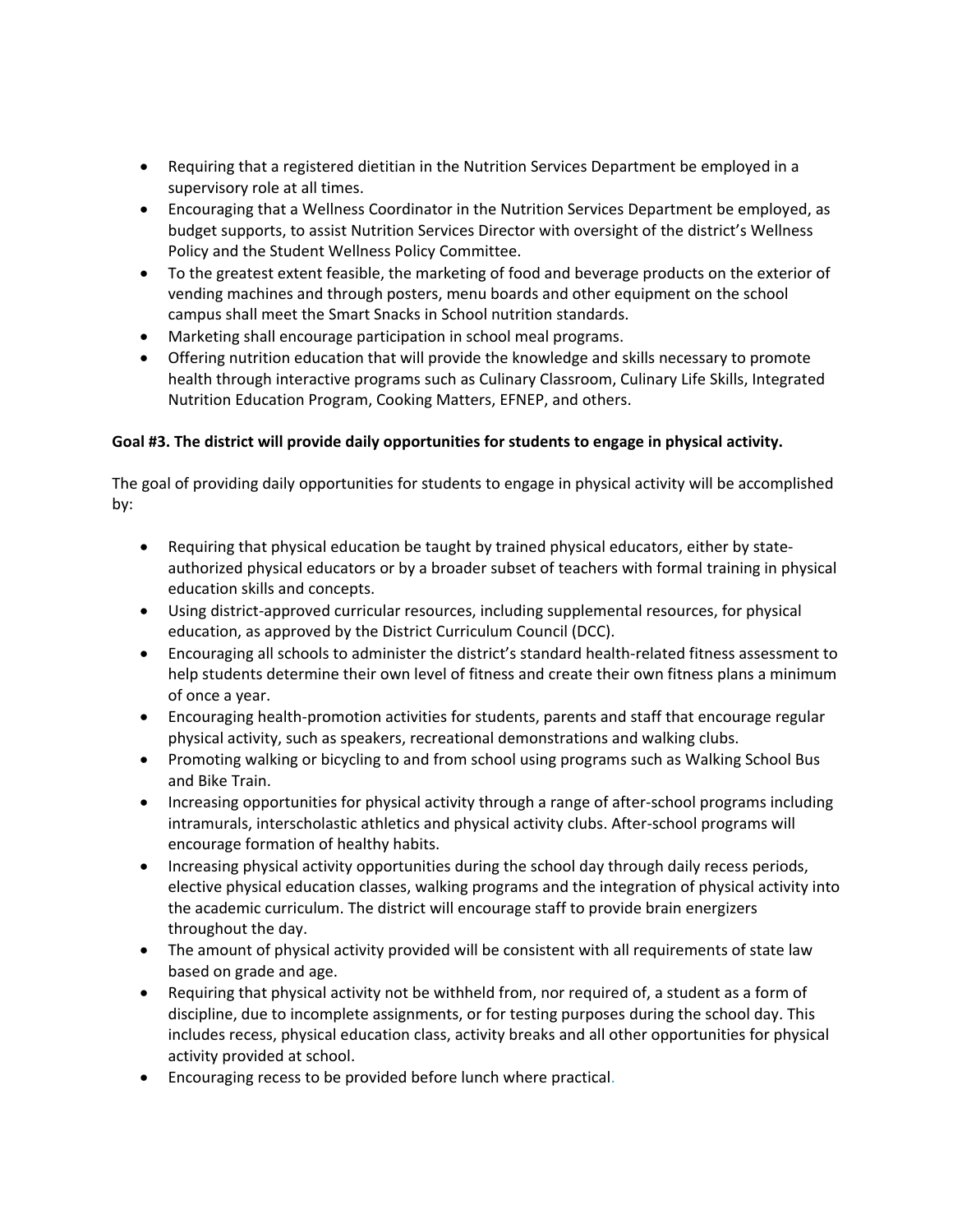- Requiring that a registered dietitian in the Nutrition Services Department be employed in a supervisory role at all times.
- Encouraging that a Wellness Coordinator in the Nutrition Services Department be employed, as budget supports, to assist Nutrition Services Director with oversight of the district's Wellness Policy and the Student Wellness Policy Committee.
- To the greatest extent feasible, the marketing of food and beverage products on the exterior of vending machines and through posters, menu boards and other equipment on the school campus shall meet the Smart Snacks in School nutrition standards.
- Marketing shall encourage participation in school meal programs.
- Offering nutrition education that will provide the knowledge and skills necessary to promote health through interactive programs such as Culinary Classroom, Culinary Life Skills, Integrated Nutrition Education Program, Cooking Matters, EFNEP, and others.

# **Goal #3. The district will provide daily opportunities for students to engage in physical activity.**

The goal of providing daily opportunities for students to engage in physical activity will be accomplished by:

- Requiring that physical education be taught by trained physical educators, either by stateauthorized physical educators or by a broader subset of teachers with formal training in physical education skills and concepts.
- Using district-approved curricular resources, including supplemental resources, for physical education, as approved by the District Curriculum Council (DCC).
- Encouraging all schools to administer the district's standard health-related fitness assessment to help students determine their own level of fitness and create their own fitness plans a minimum of once a year.
- Encouraging health-promotion activities for students, parents and staff that encourage regular physical activity, such as speakers, recreational demonstrations and walking clubs.
- Promoting walking or bicycling to and from school using programs such as Walking School Bus and Bike Train.
- Increasing opportunities for physical activity through a range of after-school programs including intramurals, interscholastic athletics and physical activity clubs. After-school programs will encourage formation of healthy habits.
- Increasing physical activity opportunities during the school day through daily recess periods, elective physical education classes, walking programs and the integration of physical activity into the academic curriculum. The district will encourage staff to provide brain energizers throughout the day.
- The amount of physical activity provided will be consistent with all requirements of state law based on grade and age.
- Requiring that physical activity not be withheld from, nor required of, a student as a form of discipline, due to incomplete assignments, or for testing purposes during the school day. This includes recess, physical education class, activity breaks and all other opportunities for physical activity provided at school.
- Encouraging recess to be provided before lunch where practical.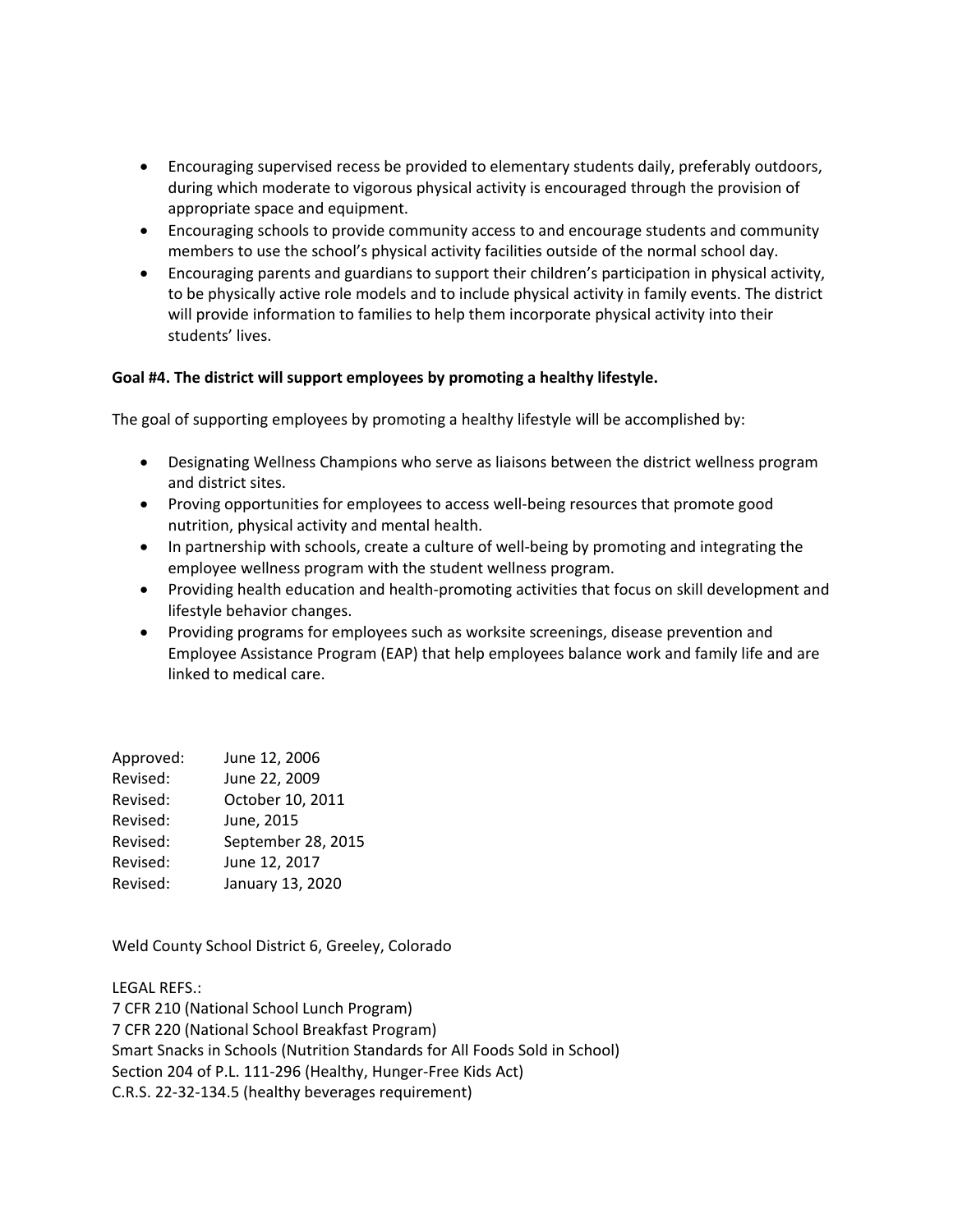- Encouraging supervised recess be provided to elementary students daily, preferably outdoors, during which moderate to vigorous physical activity is encouraged through the provision of appropriate space and equipment.
- Encouraging schools to provide community access to and encourage students and community members to use the school's physical activity facilities outside of the normal school day.
- Encouraging parents and guardians to support their children's participation in physical activity, to be physically active role models and to include physical activity in family events. The district will provide information to families to help them incorporate physical activity into their students' lives.

### **Goal #4. The district will support employees by promoting a healthy lifestyle.**

The goal of supporting employees by promoting a healthy lifestyle will be accomplished by:

- Designating Wellness Champions who serve as liaisons between the district wellness program and district sites.
- Proving opportunities for employees to access well-being resources that promote good nutrition, physical activity and mental health.
- In partnership with schools, create a culture of well-being by promoting and integrating the employee wellness program with the student wellness program.
- Providing health education and health-promoting activities that focus on skill development and lifestyle behavior changes.
- Providing programs for employees such as worksite screenings, disease prevention and Employee Assistance Program (EAP) that help employees balance work and family life and are linked to medical care.

| Approved: | June 12, 2006      |
|-----------|--------------------|
| Revised:  | June 22, 2009      |
| Revised:  | October 10, 2011   |
| Revised:  | June, 2015         |
| Revised:  | September 28, 2015 |
| Revised:  | June 12, 2017      |
| Revised:  | January 13, 2020   |

Weld County School District 6, Greeley, Colorado

LEGAL REFS.: 7 CFR 210 (National School Lunch Program) 7 CFR 220 (National School Breakfast Program) Smart Snacks in Schools (Nutrition Standards for All Foods Sold in School) Section 204 of P.L. 111-296 (Healthy, Hunger-Free Kids Act) C.R.S. 22-32-134.5 (healthy beverages requirement)